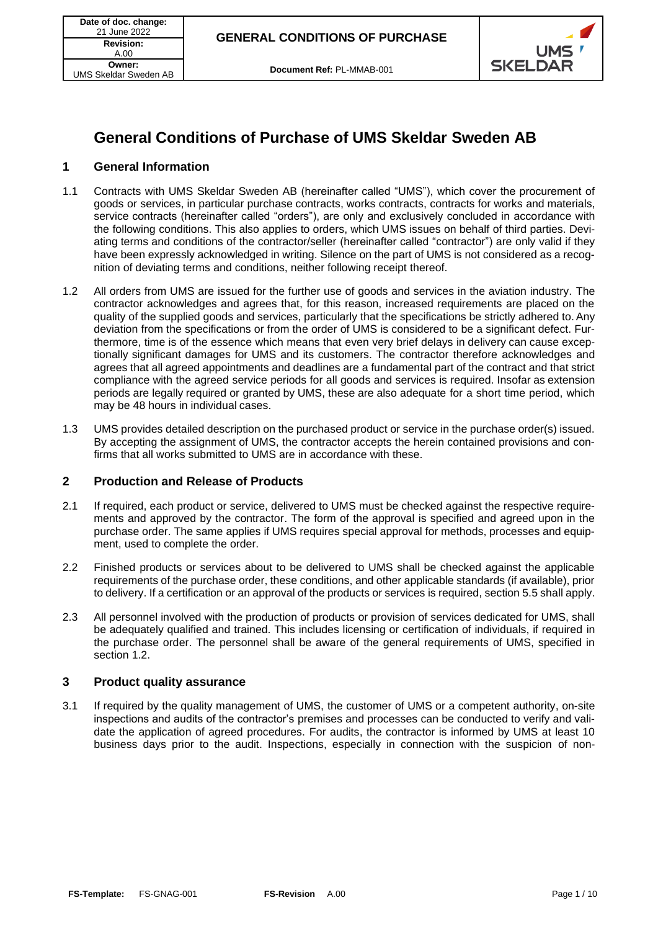

# **General Conditions of Purchase of UMS Skeldar Sweden AB**

## **1 General Information**

- 1.1 Contracts with UMS Skeldar Sweden AB (hereinafter called "UMS"), which cover the procurement of goods or services, in particular purchase contracts, works contracts, contracts for works and materials, service contracts (hereinafter called "orders"), are only and exclusively concluded in accordance with the following conditions. This also applies to orders, which UMS issues on behalf of third parties. Deviating terms and conditions of the contractor/seller (hereinafter called "contractor") are only valid if they have been expressly acknowledged in writing. Silence on the part of UMS is not considered as a recognition of deviating terms and conditions, neither following receipt thereof.
- <span id="page-0-0"></span>1.2 All orders from UMS are issued for the further use of goods and services in the aviation industry. The contractor acknowledges and agrees that, for this reason, increased requirements are placed on the quality of the supplied goods and services, particularly that the specifications be strictly adhered to. Any deviation from the specifications or from the order of UMS is considered to be a significant defect. Furthermore, time is of the essence which means that even very brief delays in delivery can cause exceptionally significant damages for UMS and its customers. The contractor therefore acknowledges and agrees that all agreed appointments and deadlines are a fundamental part of the contract and that strict compliance with the agreed service periods for all goods and services is required. Insofar as extension periods are legally required or granted by UMS, these are also adequate for a short time period, which may be 48 hours in individual cases.
- 1.3 UMS provides detailed description on the purchased product or service in the purchase order(s) issued. By accepting the assignment of UMS, the contractor accepts the herein contained provisions and confirms that all works submitted to UMS are in accordance with these.

## **2 Production and Release of Products**

- 2.1 If required, each product or service, delivered to UMS must be checked against the respective requirements and approved by the contractor. The form of the approval is specified and agreed upon in the purchase order. The same applies if UMS requires special approval for methods, processes and equipment, used to complete the order.
- 2.2 Finished products or services about to be delivered to UMS shall be checked against the applicable requirements of the purchase order, these conditions, and other applicable standards (if available), prior to delivery. If a certification or an approval of the products or services is required, section [5.5](#page-2-0) shall apply.
- 2.3 All personnel involved with the production of products or provision of services dedicated for UMS, shall be adequately qualified and trained. This includes licensing or certification of individuals, if required in the purchase order. The personnel shall be aware of the general requirements of UMS, specified in section [1.2.](#page-0-0)

## **3 Product quality assurance**

3.1 If required by the quality management of UMS, the customer of UMS or a competent authority, on-site inspections and audits of the contractor's premises and processes can be conducted to verify and validate the application of agreed procedures. For audits, the contractor is informed by UMS at least 10 business days prior to the audit. Inspections, especially in connection with the suspicion of non-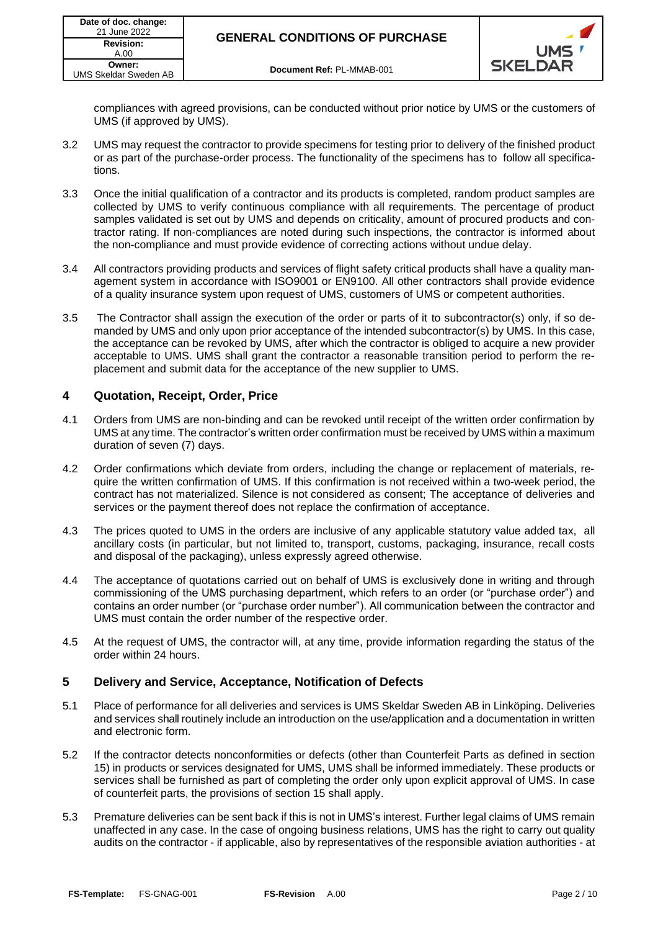

compliances with agreed provisions, can be conducted without prior notice by UMS or the customers of UMS (if approved by UMS).

- 3.2 UMS may request the contractor to provide specimens for testing prior to delivery of the finished product or as part of the purchase-order process. The functionality of the specimens has to follow all specifications.
- 3.3 Once the initial qualification of a contractor and its products is completed, random product samples are collected by UMS to verify continuous compliance with all requirements. The percentage of product samples validated is set out by UMS and depends on criticality, amount of procured products and contractor rating. If non-compliances are noted during such inspections, the contractor is informed about the non-compliance and must provide evidence of correcting actions without undue delay.
- 3.4 All contractors providing products and services of flight safety critical products shall have a quality management system in accordance with ISO9001 or EN9100. All other contractors shall provide evidence of a quality insurance system upon request of UMS, customers of UMS or competent authorities.
- 3.5 The Contractor shall assign the execution of the order or parts of it to subcontractor(s) only, if so demanded by UMS and only upon prior acceptance of the intended subcontractor(s) by UMS. In this case, the acceptance can be revoked by UMS, after which the contractor is obliged to acquire a new provider acceptable to UMS. UMS shall grant the contractor a reasonable transition period to perform the replacement and submit data for the acceptance of the new supplier to UMS.

# **4 Quotation, Receipt, Order, Price**

- 4.1 Orders from UMS are non-binding and can be revoked until receipt of the written order confirmation by UMS at any time. The contractor's written order confirmation must be received by UMS within a maximum duration of seven (7) days.
- 4.2 Order confirmations which deviate from orders, including the change or replacement of materials, require the written confirmation of UMS. If this confirmation is not received within a two-week period, the contract has not materialized. Silence is not considered as consent; The acceptance of deliveries and services or the payment thereof does not replace the confirmation of acceptance.
- 4.3 The prices quoted to UMS in the orders are inclusive of any applicable statutory value added tax, all ancillary costs (in particular, but not limited to, transport, customs, packaging, insurance, recall costs and disposal of the packaging), unless expressly agreed otherwise.
- 4.4 The acceptance of quotations carried out on behalf of UMS is exclusively done in writing and through commissioning of the UMS purchasing department, which refers to an order (or "purchase order") and contains an order number (or "purchase order number"). All communication between the contractor and UMS must contain the order number of the respective order.
- 4.5 At the request of UMS, the contractor will, at any time, provide information regarding the status of the order within 24 hours.

# **5 Delivery and Service, Acceptance, Notification of Defects**

- 5.1 Place of performance for all deliveries and services is UMS Skeldar Sweden AB in Linköping. Deliveries and services shall routinely include an introduction on the use/application and a documentation in written and electronic form.
- 5.2 If the contractor detects nonconformities or defects (other than Counterfeit Parts as defined in section 15) in products or services designated for UMS, UMS shall be informed immediately. These products or services shall be furnished as part of completing the order only upon explicit approval of UMS. In case of counterfeit parts, the provisions of section [15](#page-7-0) shall apply.
- 5.3 Premature deliveries can be sent back if this is not in UMS's interest. Further legal claims of UMS remain unaffected in any case. In the case of ongoing business relations, UMS has the right to carry out quality audits on the contractor - if applicable, also by representatives of the responsible aviation authorities - at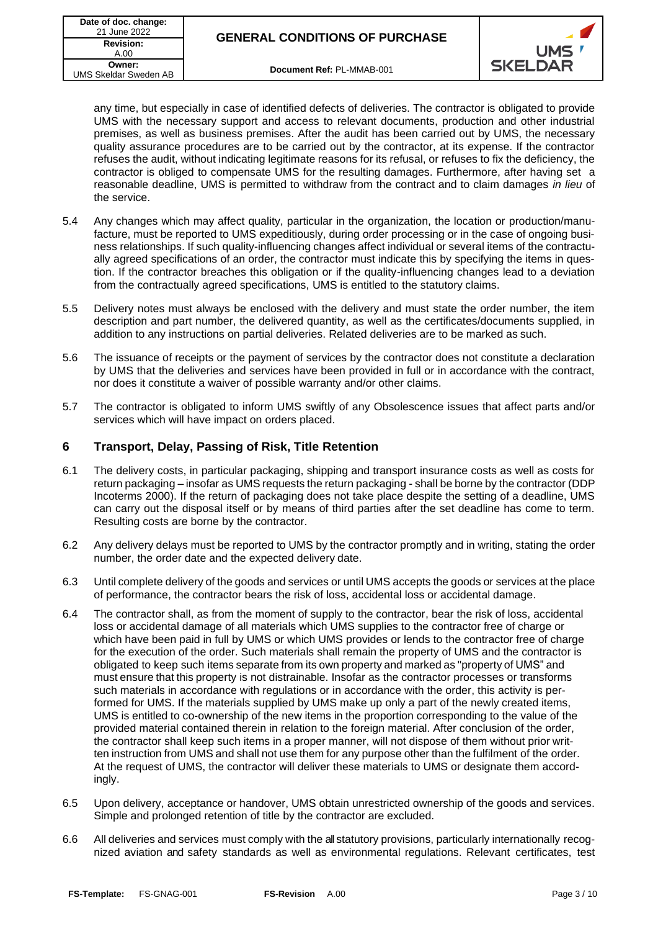

any time, but especially in case of identified defects of deliveries. The contractor is obligated to provide UMS with the necessary support and access to relevant documents, production and other industrial premises, as well as business premises. After the audit has been carried out by UMS, the necessary quality assurance procedures are to be carried out by the contractor, at its expense. If the contractor refuses the audit, without indicating legitimate reasons for its refusal, or refuses to fix the deficiency, the contractor is obliged to compensate UMS for the resulting damages. Furthermore, after having set a reasonable deadline, UMS is permitted to withdraw from the contract and to claim damages *in lieu* of the service.

- 5.4 Any changes which may affect quality, particular in the organization, the location or production/manufacture, must be reported to UMS expeditiously, during order processing or in the case of ongoing business relationships. If such quality-influencing changes affect individual or several items of the contractually agreed specifications of an order, the contractor must indicate this by specifying the items in question. If the contractor breaches this obligation or if the quality-influencing changes lead to a deviation from the contractually agreed specifications, UMS is entitled to the statutory claims.
- <span id="page-2-0"></span>5.5 Delivery notes must always be enclosed with the delivery and must state the order number, the item description and part number, the delivered quantity, as well as the certificates/documents supplied, in addition to any instructions on partial deliveries. Related deliveries are to be marked as such.
- 5.6 The issuance of receipts or the payment of services by the contractor does not constitute a declaration by UMS that the deliveries and services have been provided in full or in accordance with the contract, nor does it constitute a waiver of possible warranty and/or other claims.
- 5.7 The contractor is obligated to inform UMS swiftly of any Obsolescence issues that affect parts and/or services which will have impact on orders placed.

# **6 Transport, Delay, Passing of Risk, Title Retention**

- 6.1 The delivery costs, in particular packaging, shipping and transport insurance costs as well as costs for return packaging – insofar as UMS requests the return packaging - shall be borne by the contractor (DDP Incoterms 2000). If the return of packaging does not take place despite the setting of a deadline, UMS can carry out the disposal itself or by means of third parties after the set deadline has come to term. Resulting costs are borne by the contractor.
- 6.2 Any delivery delays must be reported to UMS by the contractor promptly and in writing, stating the order number, the order date and the expected delivery date.
- 6.3 Until complete delivery of the goods and services or until UMS accepts the goods or services at the place of performance, the contractor bears the risk of loss, accidental loss or accidental damage.
- 6.4 The contractor shall, as from the moment of supply to the contractor, bear the risk of loss, accidental loss or accidental damage of all materials which UMS supplies to the contractor free of charge or which have been paid in full by UMS or which UMS provides or lends to the contractor free of charge for the execution of the order. Such materials shall remain the property of UMS and the contractor is obligated to keep such items separate from its own property and marked as "property of UMS" and must ensure that this property is not distrainable. Insofar as the contractor processes or transforms such materials in accordance with regulations or in accordance with the order, this activity is performed for UMS. If the materials supplied by UMS make up only a part of the newly created items, UMS is entitled to co-ownership of the new items in the proportion corresponding to the value of the provided material contained therein in relation to the foreign material. After conclusion of the order, the contractor shall keep such items in a proper manner, will not dispose of them without prior written instruction from UMS and shall not use them for any purpose other than the fulfilment of the order. At the request of UMS, the contractor will deliver these materials to UMS or designate them accordingly.
- 6.5 Upon delivery, acceptance or handover, UMS obtain unrestricted ownership of the goods and services. Simple and prolonged retention of title by the contractor are excluded.
- 6.6 All deliveries and services must comply with the all statutory provisions, particularly internationally recognized aviation and safety standards as well as environmental regulations. Relevant certificates, test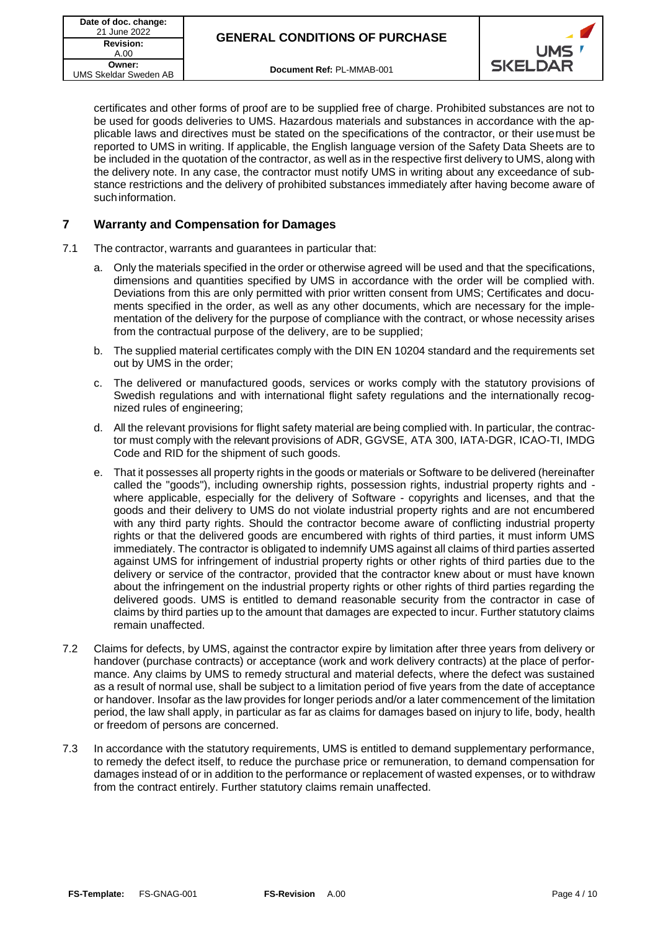

certificates and other forms of proof are to be supplied free of charge. Prohibited substances are not to be used for goods deliveries to UMS. Hazardous materials and substances in accordance with the applicable laws and directives must be stated on the specifications of the contractor, or their usemust be reported to UMS in writing. If applicable, the English language version of the Safety Data Sheets are to be included in the quotation of the contractor, as well as in the respective first delivery to UMS, along with the delivery note. In any case, the contractor must notify UMS in writing about any exceedance of substance restrictions and the delivery of prohibited substances immediately after having become aware of suchinformation.

# **7 Warranty and Compensation for Damages**

- 7.1 The contractor, warrants and guarantees in particular that:
	- a. Only the materials specified in the order or otherwise agreed will be used and that the specifications, dimensions and quantities specified by UMS in accordance with the order will be complied with. Deviations from this are only permitted with prior written consent from UMS; Certificates and documents specified in the order, as well as any other documents, which are necessary for the implementation of the delivery for the purpose of compliance with the contract, or whose necessity arises from the contractual purpose of the delivery, are to be supplied;
	- b. The supplied material certificates comply with the DIN EN 10204 standard and the requirements set out by UMS in the order;
	- c. The delivered or manufactured goods, services or works comply with the statutory provisions of Swedish regulations and with international flight safety regulations and the internationally recognized rules of engineering;
	- d. All the relevant provisions for flight safety material are being complied with. In particular, the contractor must comply with the relevant provisions of ADR, GGVSE, ATA 300, IATA-DGR, ICAO-TI, IMDG Code and RID for the shipment of such goods.
	- e. That it possesses all property rights in the goods or materials or Software to be delivered (hereinafter called the "goods"), including ownership rights, possession rights, industrial property rights and where applicable, especially for the delivery of Software - copyrights and licenses, and that the goods and their delivery to UMS do not violate industrial property rights and are not encumbered with any third party rights. Should the contractor become aware of conflicting industrial property rights or that the delivered goods are encumbered with rights of third parties, it must inform UMS immediately. The contractor is obligated to indemnify UMS against all claims of third parties asserted against UMS for infringement of industrial property rights or other rights of third parties due to the delivery or service of the contractor, provided that the contractor knew about or must have known about the infringement on the industrial property rights or other rights of third parties regarding the delivered goods. UMS is entitled to demand reasonable security from the contractor in case of claims by third parties up to the amount that damages are expected to incur. Further statutory claims remain unaffected.
- 7.2 Claims for defects, by UMS, against the contractor expire by limitation after three years from delivery or handover (purchase contracts) or acceptance (work and work delivery contracts) at the place of performance. Any claims by UMS to remedy structural and material defects, where the defect was sustained as a result of normal use, shall be subject to a limitation period of five years from the date of acceptance or handover. Insofar as the law provides for longer periods and/or a later commencement of the limitation period, the law shall apply, in particular as far as claims for damages based on injury to life, body, health or freedom of persons are concerned.
- 7.3 In accordance with the statutory requirements, UMS is entitled to demand supplementary performance, to remedy the defect itself, to reduce the purchase price or remuneration, to demand compensation for damages instead of or in addition to the performance or replacement of wasted expenses, or to withdraw from the contract entirely. Further statutory claims remain unaffected.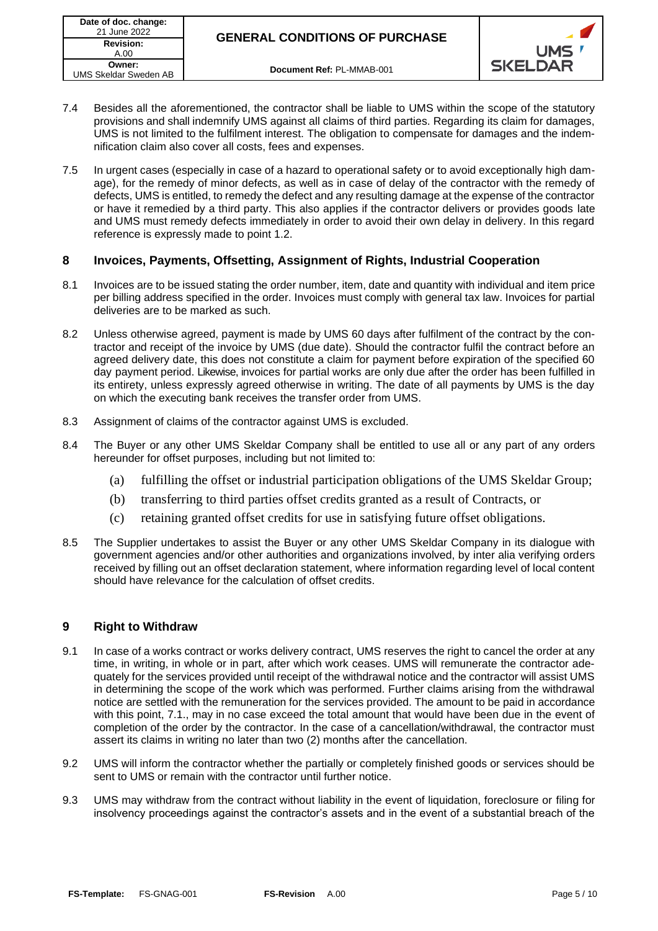

- 7.4 Besides all the aforementioned, the contractor shall be liable to UMS within the scope of the statutory provisions and shall indemnify UMS against all claims of third parties. Regarding its claim for damages, UMS is not limited to the fulfilment interest. The obligation to compensate for damages and the indemnification claim also cover all costs, fees and expenses.
- 7.5 In urgent cases (especially in case of a hazard to operational safety or to avoid exceptionally high damage), for the remedy of minor defects, as well as in case of delay of the contractor with the remedy of defects, UMS is entitled, to remedy the defect and any resulting damage at the expense of the contractor or have it remedied by a third party. This also applies if the contractor delivers or provides goods late and UMS must remedy defects immediately in order to avoid their own delay in delivery. In this regard reference is expressly made to point 1.2.

# **8 Invoices, Payments, Offsetting, Assignment of Rights, Industrial Cooperation**

- 8.1 Invoices are to be issued stating the order number, item, date and quantity with individual and item price per billing address specified in the order. Invoices must comply with general tax law. Invoices for partial deliveries are to be marked as such.
- 8.2 Unless otherwise agreed, payment is made by UMS 60 days after fulfilment of the contract by the contractor and receipt of the invoice by UMS (due date). Should the contractor fulfil the contract before an agreed delivery date, this does not constitute a claim for payment before expiration of the specified 60 day payment period. Likewise, invoices for partial works are only due after the order has been fulfilled in its entirety, unless expressly agreed otherwise in writing. The date of all payments by UMS is the day on which the executing bank receives the transfer order from UMS.
- 8.3 Assignment of claims of the contractor against UMS is excluded.
- 8.4 The Buyer or any other UMS Skeldar Company shall be entitled to use all or any part of any orders hereunder for offset purposes, including but not limited to:
	- (a) fulfilling the offset or industrial participation obligations of the UMS Skeldar Group;
	- (b) transferring to third parties offset credits granted as a result of Contracts, or
	- (c) retaining granted offset credits for use in satisfying future offset obligations.
- 8.5 The Supplier undertakes to assist the Buyer or any other UMS Skeldar Company in its dialogue with government agencies and/or other authorities and organizations involved, by inter alia verifying orders received by filling out an offset declaration statement, where information regarding level of local content should have relevance for the calculation of offset credits.

# **9 Right to Withdraw**

- 9.1 In case of a works contract or works delivery contract, UMS reserves the right to cancel the order at any time, in writing, in whole or in part, after which work ceases. UMS will remunerate the contractor adequately for the services provided until receipt of the withdrawal notice and the contractor will assist UMS in determining the scope of the work which was performed. Further claims arising from the withdrawal notice are settled with the remuneration for the services provided. The amount to be paid in accordance with this point, 7.1., may in no case exceed the total amount that would have been due in the event of completion of the order by the contractor. In the case of a cancellation/withdrawal, the contractor must assert its claims in writing no later than two (2) months after the cancellation.
- 9.2 UMS will inform the contractor whether the partially or completely finished goods or services should be sent to UMS or remain with the contractor until further notice.
- 9.3 UMS may withdraw from the contract without liability in the event of liquidation, foreclosure or filing for insolvency proceedings against the contractor's assets and in the event of a substantial breach of the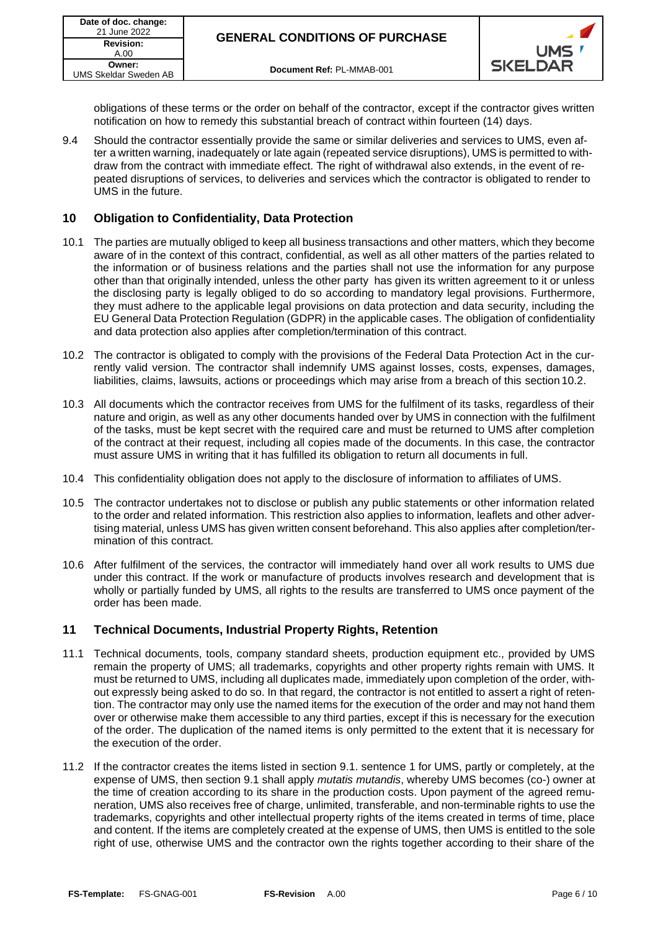

obligations of these terms or the order on behalf of the contractor, except if the contractor gives written notification on how to remedy this substantial breach of contract within fourteen (14) days.

9.4 Should the contractor essentially provide the same or similar deliveries and services to UMS, even after a written warning, inadequately or late again (repeated service disruptions), UMS is permitted to withdraw from the contract with immediate effect. The right of withdrawal also extends, in the event of repeated disruptions of services, to deliveries and services which the contractor is obligated to render to UMS in the future.

## **10 Obligation to Confidentiality, Data Protection**

- 10.1 The parties are mutually obliged to keep all business transactions and other matters, which they become aware of in the context of this contract, confidential, as well as all other matters of the parties related to the information or of business relations and the parties shall not use the information for any purpose other than that originally intended, unless the other party has given its written agreement to it or unless the disclosing party is legally obliged to do so according to mandatory legal provisions. Furthermore, they must adhere to the applicable legal provisions on data protection and data security, including the EU General Data Protection Regulation (GDPR) in the applicable cases. The obligation of confidentiality and data protection also applies after completion/termination of this contract.
- 10.2 The contractor is obligated to comply with the provisions of the Federal Data Protection Act in the currently valid version. The contractor shall indemnify UMS against losses, costs, expenses, damages, liabilities, claims, lawsuits, actions or proceedings which may arise from a breach of this section 10.2.
- 10.3 All documents which the contractor receives from UMS for the fulfilment of its tasks, regardless of their nature and origin, as well as any other documents handed over by UMS in connection with the fulfilment of the tasks, must be kept secret with the required care and must be returned to UMS after completion of the contract at their request, including all copies made of the documents. In this case, the contractor must assure UMS in writing that it has fulfilled its obligation to return all documents in full.
- 10.4 This confidentiality obligation does not apply to the disclosure of information to affiliates of UMS.
- 10.5 The contractor undertakes not to disclose or publish any public statements or other information related to the order and related information. This restriction also applies to information, leaflets and other advertising material, unless UMS has given written consent beforehand. This also applies after completion/termination of this contract.
- 10.6 After fulfilment of the services, the contractor will immediately hand over all work results to UMS due under this contract. If the work or manufacture of products involves research and development that is wholly or partially funded by UMS, all rights to the results are transferred to UMS once payment of the order has been made.

## **11 Technical Documents, Industrial Property Rights, Retention**

- 11.1 Technical documents, tools, company standard sheets, production equipment etc., provided by UMS remain the property of UMS; all trademarks, copyrights and other property rights remain with UMS. It must be returned to UMS, including all duplicates made, immediately upon completion of the order, without expressly being asked to do so. In that regard, the contractor is not entitled to assert a right of retention. The contractor may only use the named items for the execution of the order and may not hand them over or otherwise make them accessible to any third parties, except if this is necessary for the execution of the order. The duplication of the named items is only permitted to the extent that it is necessary for the execution of the order.
- 11.2 If the contractor creates the items listed in section 9.1. sentence 1 for UMS, partly or completely, at the expense of UMS, then section 9.1 shall apply *mutatis mutandis*, whereby UMS becomes (co-) owner at the time of creation according to its share in the production costs. Upon payment of the agreed remuneration, UMS also receives free of charge, unlimited, transferable, and non-terminable rights to use the trademarks, copyrights and other intellectual property rights of the items created in terms of time, place and content. If the items are completely created at the expense of UMS, then UMS is entitled to the sole right of use, otherwise UMS and the contractor own the rights together according to their share of the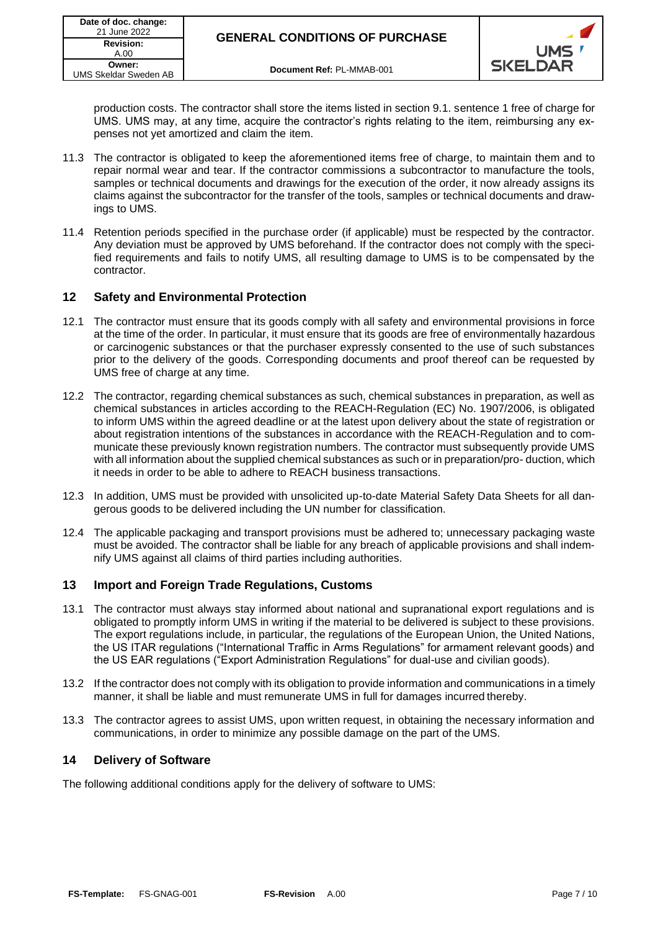

production costs. The contractor shall store the items listed in section 9.1. sentence 1 free of charge for UMS. UMS may, at any time, acquire the contractor's rights relating to the item, reimbursing any expenses not yet amortized and claim the item.

- 11.3 The contractor is obligated to keep the aforementioned items free of charge, to maintain them and to repair normal wear and tear. If the contractor commissions a subcontractor to manufacture the tools, samples or technical documents and drawings for the execution of the order, it now already assigns its claims against the subcontractor for the transfer of the tools, samples or technical documents and drawings to UMS.
- 11.4 Retention periods specified in the purchase order (if applicable) must be respected by the contractor. Any deviation must be approved by UMS beforehand. If the contractor does not comply with the specified requirements and fails to notify UMS, all resulting damage to UMS is to be compensated by the contractor.

# **12 Safety and Environmental Protection**

- 12.1 The contractor must ensure that its goods comply with all safety and environmental provisions in force at the time of the order. In particular, it must ensure that its goods are free of environmentally hazardous or carcinogenic substances or that the purchaser expressly consented to the use of such substances prior to the delivery of the goods. Corresponding documents and proof thereof can be requested by UMS free of charge at any time.
- 12.2 The contractor, regarding chemical substances as such, chemical substances in preparation, as well as chemical substances in articles according to the REACH-Regulation (EC) No. 1907/2006, is obligated to inform UMS within the agreed deadline or at the latest upon delivery about the state of registration or about registration intentions of the substances in accordance with the REACH-Regulation and to communicate these previously known registration numbers. The contractor must subsequently provide UMS with all information about the supplied chemical substances as such or in preparation/pro- duction, which it needs in order to be able to adhere to REACH business transactions.
- 12.3 In addition, UMS must be provided with unsolicited up-to-date Material Safety Data Sheets for all dangerous goods to be delivered including the UN number for classification.
- 12.4 The applicable packaging and transport provisions must be adhered to; unnecessary packaging waste must be avoided. The contractor shall be liable for any breach of applicable provisions and shall indemnify UMS against all claims of third parties including authorities.

## **13 Import and Foreign Trade Regulations, Customs**

- 13.1 The contractor must always stay informed about national and supranational export regulations and is obligated to promptly inform UMS in writing if the material to be delivered is subject to these provisions. The export regulations include, in particular, the regulations of the European Union, the United Nations, the US ITAR regulations ("International Traffic in Arms Regulations" for armament relevant goods) and the US EAR regulations ("Export Administration Regulations" for dual-use and civilian goods).
- 13.2 If the contractor does not comply with its obligation to provide information and communications in a timely manner, it shall be liable and must remunerate UMS in full for damages incurred thereby.
- 13.3 The contractor agrees to assist UMS, upon written request, in obtaining the necessary information and communications, in order to minimize any possible damage on the part of the UMS.

## **14 Delivery of Software**

The following additional conditions apply for the delivery of software to UMS: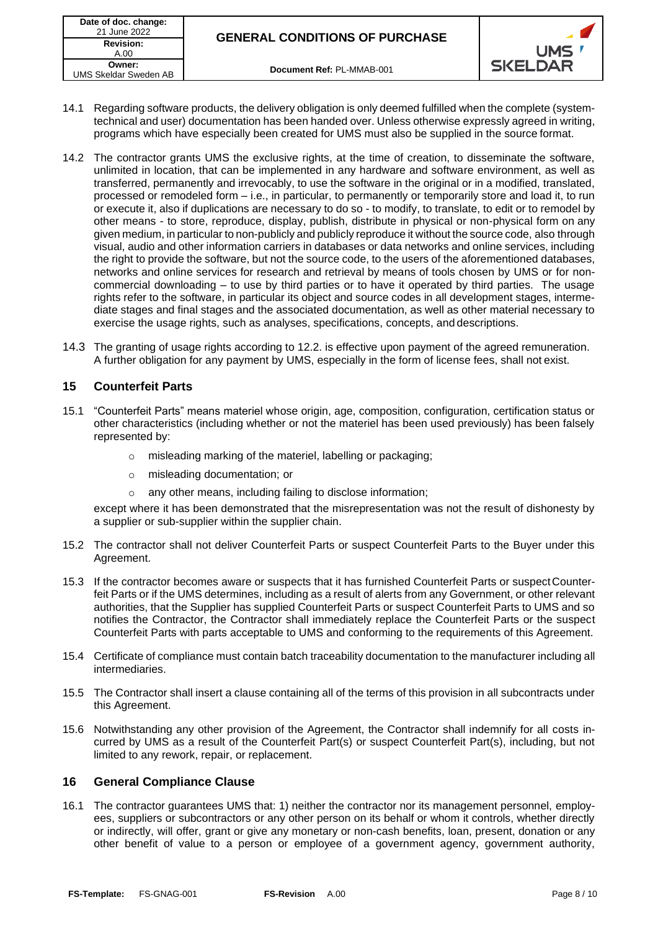



- 14.1 Regarding software products, the delivery obligation is only deemed fulfilled when the complete (systemtechnical and user) documentation has been handed over. Unless otherwise expressly agreed in writing, programs which have especially been created for UMS must also be supplied in the source format.
- 14.2 The contractor grants UMS the exclusive rights, at the time of creation, to disseminate the software, unlimited in location, that can be implemented in any hardware and software environment, as well as transferred, permanently and irrevocably, to use the software in the original or in a modified, translated, processed or remodeled form – i.e., in particular, to permanently or temporarily store and load it, to run or execute it, also if duplications are necessary to do so - to modify, to translate, to edit or to remodel by other means - to store, reproduce, display, publish, distribute in physical or non-physical form on any given medium, in particular to non-publicly and publicly reproduce it without the source code, also through visual, audio and other information carriers in databases or data networks and online services, including the right to provide the software, but not the source code, to the users of the aforementioned databases, networks and online services for research and retrieval by means of tools chosen by UMS or for noncommercial downloading – to use by third parties or to have it operated by third parties. The usage rights refer to the software, in particular its object and source codes in all development stages, intermediate stages and final stages and the associated documentation, as well as other material necessary to exercise the usage rights, such as analyses, specifications, concepts, and descriptions.
- 14.3 The granting of usage rights according to 12.2. is effective upon payment of the agreed remuneration. A further obligation for any payment by UMS, especially in the form of license fees, shall not exist.

## <span id="page-7-0"></span>**15 Counterfeit Parts**

- 15.1 "Counterfeit Parts" means materiel whose origin, age, composition, configuration, certification status or other characteristics (including whether or not the materiel has been used previously) has been falsely represented by:
	- o misleading marking of the materiel, labelling or packaging;
	- o misleading documentation; or
	- any other means, including failing to disclose information;

except where it has been demonstrated that the misrepresentation was not the result of dishonesty by a supplier or sub-supplier within the supplier chain.

- 15.2 The contractor shall not deliver Counterfeit Parts or suspect Counterfeit Parts to the Buyer under this Agreement.
- 15.3 If the contractor becomes aware or suspects that it has furnished Counterfeit Parts or suspectCounterfeit Parts or if the UMS determines, including as a result of alerts from any Government, or other relevant authorities, that the Supplier has supplied Counterfeit Parts or suspect Counterfeit Parts to UMS and so notifies the Contractor, the Contractor shall immediately replace the Counterfeit Parts or the suspect Counterfeit Parts with parts acceptable to UMS and conforming to the requirements of this Agreement.
- 15.4 Certificate of compliance must contain batch traceability documentation to the manufacturer including all intermediaries.
- 15.5 The Contractor shall insert a clause containing all of the terms of this provision in all subcontracts under this Agreement.
- 15.6 Notwithstanding any other provision of the Agreement, the Contractor shall indemnify for all costs incurred by UMS as a result of the Counterfeit Part(s) or suspect Counterfeit Part(s), including, but not limited to any rework, repair, or replacement.

## **16 General Compliance Clause**

16.1 The contractor guarantees UMS that: 1) neither the contractor nor its management personnel, employees, suppliers or subcontractors or any other person on its behalf or whom it controls, whether directly or indirectly, will offer, grant or give any monetary or non-cash benefits, loan, present, donation or any other benefit of value to a person or employee of a government agency, government authority,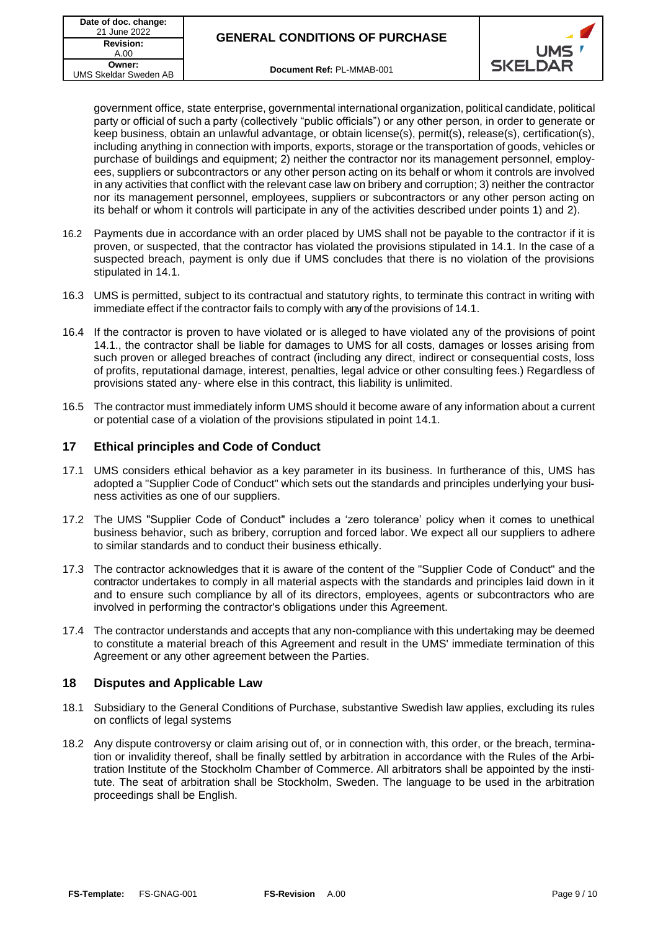

government office, state enterprise, governmental international organization, political candidate, political party or official of such a party (collectively "public officials") or any other person, in order to generate or keep business, obtain an unlawful advantage, or obtain license(s), permit(s), release(s), certification(s), including anything in connection with imports, exports, storage or the transportation of goods, vehicles or purchase of buildings and equipment; 2) neither the contractor nor its management personnel, employees, suppliers or subcontractors or any other person acting on its behalf or whom it controls are involved in any activities that conflict with the relevant case law on bribery and corruption; 3) neither the contractor nor its management personnel, employees, suppliers or subcontractors or any other person acting on its behalf or whom it controls will participate in any of the activities described under points 1) and 2).

- 16.2 Payments due in accordance with an order placed by UMS shall not be payable to the contractor if it is proven, or suspected, that the contractor has violated the provisions stipulated in 14.1. In the case of a suspected breach, payment is only due if UMS concludes that there is no violation of the provisions stipulated in 14.1.
- 16.3 UMS is permitted, subject to its contractual and statutory rights, to terminate this contract in writing with immediate effect if the contractor fails to comply with any of the provisions of 14.1.
- 16.4 If the contractor is proven to have violated or is alleged to have violated any of the provisions of point 14.1., the contractor shall be liable for damages to UMS for all costs, damages or losses arising from such proven or alleged breaches of contract (including any direct, indirect or consequential costs, loss of profits, reputational damage, interest, penalties, legal advice or other consulting fees.) Regardless of provisions stated any- where else in this contract, this liability is unlimited.
- 16.5 The contractor must immediately inform UMS should it become aware of any information about a current or potential case of a violation of the provisions stipulated in point 14.1.

## **17 Ethical principles and Code of Conduct**

- 17.1 UMS considers ethical behavior as a key parameter in its business. In furtherance of this, UMS has adopted a "Supplier Code of Conduct" which sets out the standards and principles underlying your business activities as one of our suppliers.
- 17.2 The UMS "Supplier Code of Conduct" includes a 'zero tolerance' policy when it comes to unethical business behavior, such as bribery, corruption and forced labor. We expect all our suppliers to adhere to similar standards and to conduct their business ethically.
- 17.3 The contractor acknowledges that it is aware of the content of the "Supplier Code of Conduct" and the contractor undertakes to comply in all material aspects with the standards and principles laid down in it and to ensure such compliance by all of its directors, employees, agents or subcontractors who are involved in performing the contractor's obligations under this Agreement.
- 17.4 The contractor understands and accepts that any non-compliance with this undertaking may be deemed to constitute a material breach of this Agreement and result in the UMS' immediate termination of this Agreement or any other agreement between the Parties.

# **18 Disputes and Applicable Law**

- 18.1 Subsidiary to the General Conditions of Purchase, substantive Swedish law applies, excluding its rules on conflicts of legal systems
- 18.2 Any dispute controversy or claim arising out of, or in connection with, this order, or the breach, termination or invalidity thereof, shall be finally settled by arbitration in accordance with the Rules of the Arbitration Institute of the Stockholm Chamber of Commerce. All arbitrators shall be appointed by the institute. The seat of arbitration shall be Stockholm, Sweden. The language to be used in the arbitration proceedings shall be English.